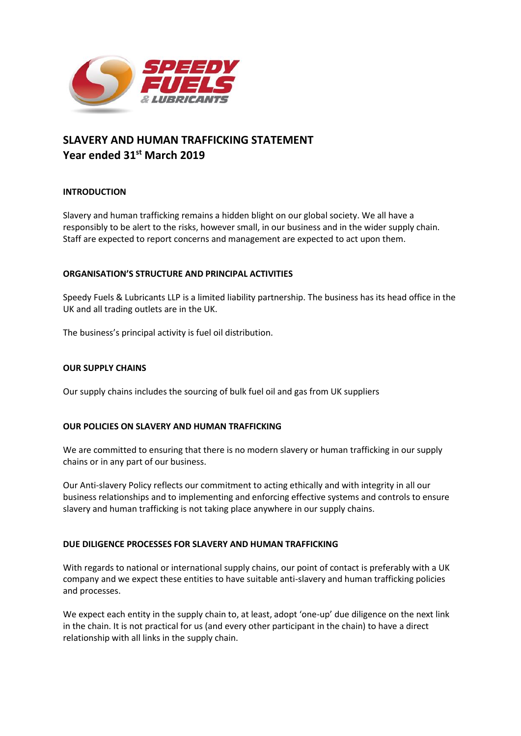

# **SLAVERY AND HUMAN TRAFFICKING STATEMENT Year ended 31st March 2019**

## **INTRODUCTION**

Slavery and human trafficking remains a hidden blight on our global society. We all have a responsibly to be alert to the risks, however small, in our business and in the wider supply chain. Staff are expected to report concerns and management are expected to act upon them.

### **ORGANISATION'S STRUCTURE AND PRINCIPAL ACTIVITIES**

Speedy Fuels & Lubricants LLP is a limited liability partnership. The business has its head office in the UK and all trading outlets are in the UK.

The business's principal activity is fuel oil distribution.

### **OUR SUPPLY CHAINS**

Our supply chains includes the sourcing of bulk fuel oil and gas from UK suppliers

### **OUR POLICIES ON SLAVERY AND HUMAN TRAFFICKING**

We are committed to ensuring that there is no modern slavery or human trafficking in our supply chains or in any part of our business.

Our Anti-slavery Policy reflects our commitment to acting ethically and with integrity in all our business relationships and to implementing and enforcing effective systems and controls to ensure slavery and human trafficking is not taking place anywhere in our supply chains.

### **DUE DILIGENCE PROCESSES FOR SLAVERY AND HUMAN TRAFFICKING**

With regards to national or international supply chains, our point of contact is preferably with a UK company and we expect these entities to have suitable anti-slavery and human trafficking policies and processes.

We expect each entity in the supply chain to, at least, adopt 'one-up' due diligence on the next link in the chain. It is not practical for us (and every other participant in the chain) to have a direct relationship with all links in the supply chain.